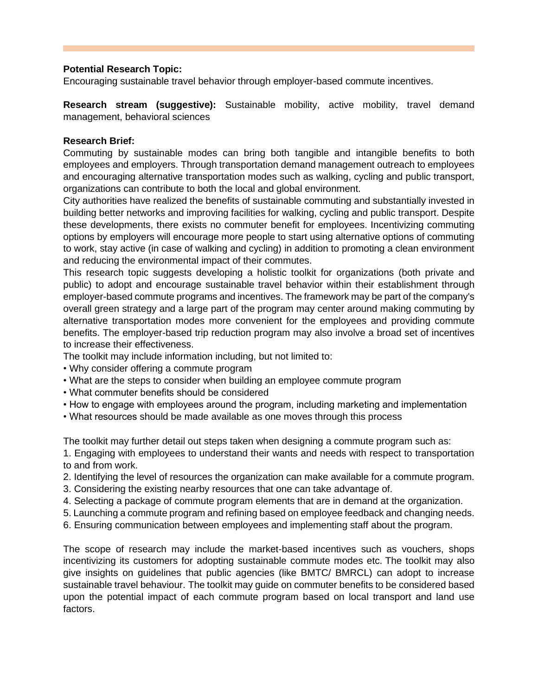## **Potential Research Topic:**

Encouraging sustainable travel behavior through employer-based commute incentives.

**Research stream (suggestive):** Sustainable mobility, active mobility, travel demand management, behavioral sciences

## **Research Brief:**

Commuting by sustainable modes can bring both tangible and intangible benefits to both employees and employers. Through transportation demand management outreach to employees and encouraging alternative transportation modes such as walking, cycling and public transport, organizations can contribute to both the local and global environment.

City authorities have realized the benefits of sustainable commuting and substantially invested in building better networks and improving facilities for walking, cycling and public transport. Despite these developments, there exists no commuter benefit for employees. Incentivizing commuting options by employers will encourage more people to start using alternative options of commuting to work, stay active (in case of walking and cycling) in addition to promoting a clean environment and reducing the environmental impact of their commutes.

This research topic suggests developing a holistic toolkit for organizations (both private and public) to adopt and encourage sustainable travel behavior within their establishment through employer-based commute programs and incentives. The framework may be part of the company's overall green strategy and a large part of the program may center around making commuting by alternative transportation modes more convenient for the employees and providing commute benefits. The employer-based trip reduction program may also involve a broad set of incentives to increase their effectiveness.

The toolkit may include information including, but not limited to:

- Why consider offering a commute program
- What are the steps to consider when building an employee commute program
- What commuter benefits should be considered
- How to engage with employees around the program, including marketing and implementation
- What resources should be made available as one moves through this process

The toolkit may further detail out steps taken when designing a commute program such as:

- 1. Engaging with employees to understand their wants and needs with respect to transportation to and from work.
- 2. Identifying the level of resources the organization can make available for a commute program.
- 3. Considering the existing nearby resources that one can take advantage of.
- 4. Selecting a package of commute program elements that are in demand at the organization.
- 5. Launching a commute program and refining based on employee feedback and changing needs.
- 6. Ensuring communication between employees and implementing staff about the program.

The scope of research may include the market-based incentives such as vouchers, shops incentivizing its customers for adopting sustainable commute modes etc. The toolkit may also give insights on guidelines that public agencies (like BMTC/ BMRCL) can adopt to increase sustainable travel behaviour. The toolkit may guide on commuter benefits to be considered based upon the potential impact of each commute program based on local transport and land use factors.